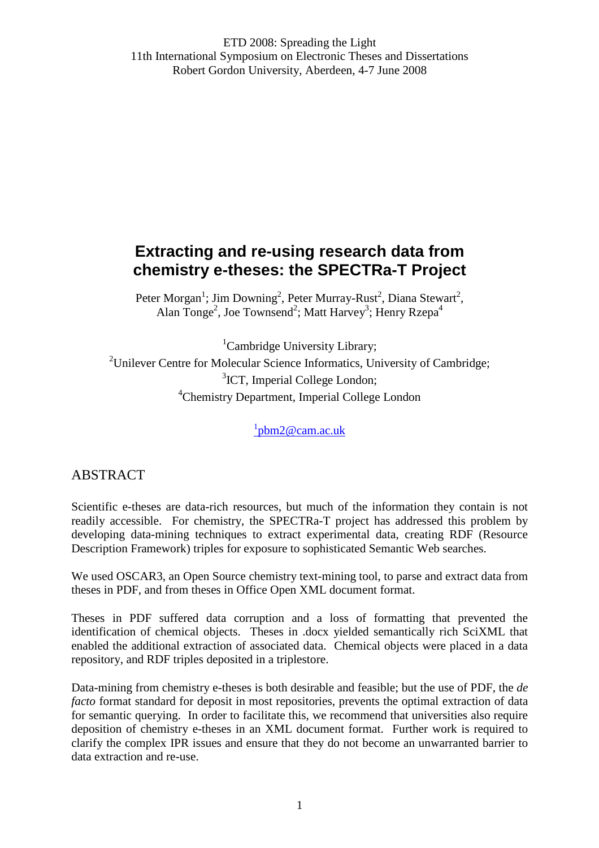# **Extracting and re-using research data from chemistry e-theses: the SPECTRa-T Project**

Peter Morgan<sup>1</sup>; Jim Downing<sup>2</sup>, Peter Murray-Rust<sup>2</sup>, Diana Stewart<sup>2</sup>, Alan Tonge<sup>2</sup>, Joe Townsend<sup>2</sup>; Matt Harvey<sup>3</sup>; Henry Rzepa<sup>4</sup>

<sup>1</sup>Cambridge University Library; <sup>2</sup>Unilever Centre for Molecular Science Informatics, University of Cambridge; <sup>3</sup>ICT, Imperial College London; <sup>4</sup>Chemistry Department, Imperial College London

<sup>1</sup>pbm2@cam.ac.uk

# ABSTRACT

Scientific e-theses are data-rich resources, but much of the information they contain is not readily accessible. For chemistry, the SPECTRa-T project has addressed this problem by developing data-mining techniques to extract experimental data, creating RDF (Resource Description Framework) triples for exposure to sophisticated Semantic Web searches.

We used OSCAR3, an Open Source chemistry text-mining tool, to parse and extract data from theses in PDF, and from theses in Office Open XML document format.

Theses in PDF suffered data corruption and a loss of formatting that prevented the identification of chemical objects. Theses in .docx yielded semantically rich SciXML that enabled the additional extraction of associated data. Chemical objects were placed in a data repository, and RDF triples deposited in a triplestore.

Data-mining from chemistry e-theses is both desirable and feasible; but the use of PDF, the *de facto* format standard for deposit in most repositories, prevents the optimal extraction of data for semantic querying. In order to facilitate this, we recommend that universities also require deposition of chemistry e-theses in an XML document format. Further work is required to clarify the complex IPR issues and ensure that they do not become an unwarranted barrier to data extraction and re-use.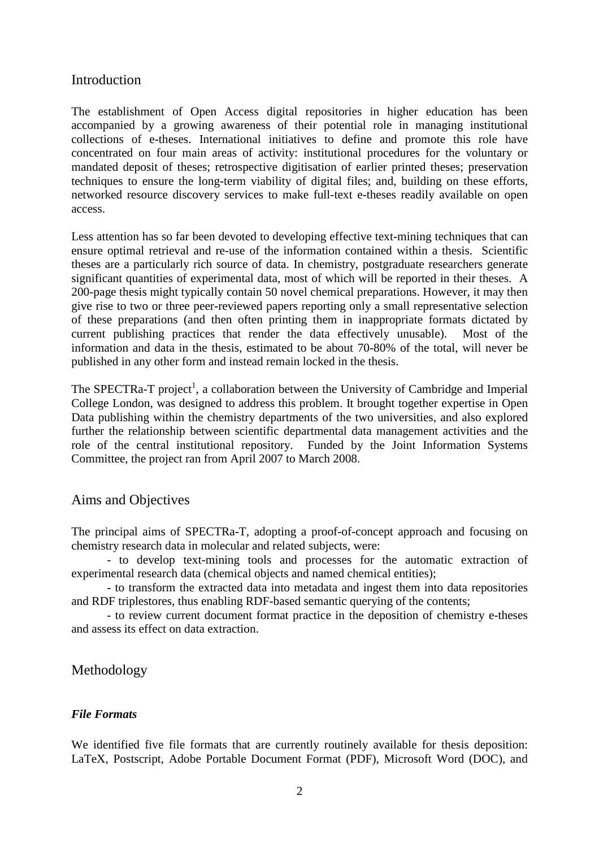#### Introduction

The establishment of Open Access digital repositories in higher education has been accompanied by a growing awareness of their potential role in managing institutional collections of e-theses. International initiatives to define and promote this role have concentrated on four main areas of activity: institutional procedures for the voluntary or mandated deposit of theses; retrospective digitisation of earlier printed theses; preservation techniques to ensure the long-term viability of digital files; and, building on these efforts, networked resource discovery services to make full-text e-theses readily available on open access.

Less attention has so far been devoted to developing effective text-mining techniques that can ensure optimal retrieval and re-use of the information contained within a thesis. Scientific theses are a particularly rich source of data. In chemistry, postgraduate researchers generate significant quantities of experimental data, most of which will be reported in their theses. A 200-page thesis might typically contain 50 novel chemical preparations. However, it may then give rise to two or three peer-reviewed papers reporting only a small representative selection of these preparations (and then often printing them in inappropriate formats dictated by current publishing practices that render the data effectively unusable). Most of the information and data in the thesis, estimated to be about 70-80% of the total, will never be published in any other form and instead remain locked in the thesis.

The SPECTRa-T project<sup>1</sup>, a collaboration between the University of Cambridge and Imperial College London, was designed to address this problem. It brought together expertise in Open Data publishing within the chemistry departments of the two universities, and also explored further the relationship between scientific departmental data management activities and the role of the central institutional repository. Funded by the Joint Information Systems Committee, the project ran from April 2007 to March 2008.

#### Aims and Objectives

The principal aims of SPECTRa-T, adopting a proof-of-concept approach and focusing on chemistry research data in molecular and related subjects, were:

 - to develop text-mining tools and processes for the automatic extraction of experimental research data (chemical objects and named chemical entities);

 - to transform the extracted data into metadata and ingest them into data repositories and RDF triplestores, thus enabling RDF-based semantic querying of the contents;

 - to review current document format practice in the deposition of chemistry e-theses and assess its effect on data extraction.

#### Methodology

#### *File Formats*

We identified five file formats that are currently routinely available for thesis deposition: LaTeX, Postscript, Adobe Portable Document Format (PDF), Microsoft Word (DOC), and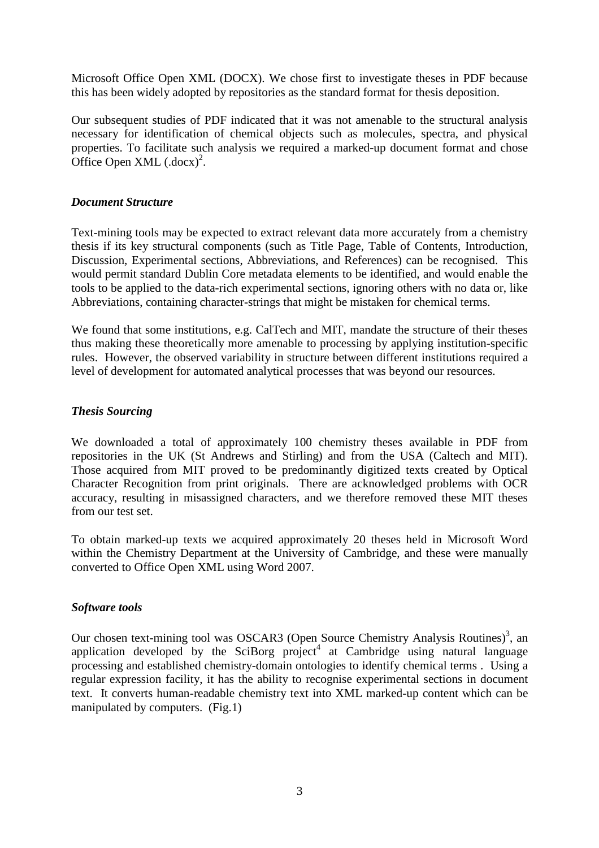Microsoft Office Open XML (DOCX). We chose first to investigate theses in PDF because this has been widely adopted by repositories as the standard format for thesis deposition.

Our subsequent studies of PDF indicated that it was not amenable to the structural analysis necessary for identification of chemical objects such as molecules, spectra, and physical properties. To facilitate such analysis we required a marked-up document format and chose Office Open XML  $(docx)^2$ .

#### *Document Structure*

Text-mining tools may be expected to extract relevant data more accurately from a chemistry thesis if its key structural components (such as Title Page, Table of Contents, Introduction, Discussion, Experimental sections, Abbreviations, and References) can be recognised. This would permit standard Dublin Core metadata elements to be identified, and would enable the tools to be applied to the data-rich experimental sections, ignoring others with no data or, like Abbreviations, containing character-strings that might be mistaken for chemical terms.

We found that some institutions, e.g. CalTech and MIT, mandate the structure of their theses thus making these theoretically more amenable to processing by applying institution-specific rules. However, the observed variability in structure between different institutions required a level of development for automated analytical processes that was beyond our resources.

#### *Thesis Sourcing*

We downloaded a total of approximately 100 chemistry theses available in PDF from repositories in the UK (St Andrews and Stirling) and from the USA (Caltech and MIT). Those acquired from MIT proved to be predominantly digitized texts created by Optical Character Recognition from print originals. There are acknowledged problems with OCR accuracy, resulting in misassigned characters, and we therefore removed these MIT theses from our test set.

To obtain marked-up texts we acquired approximately 20 theses held in Microsoft Word within the Chemistry Department at the University of Cambridge, and these were manually converted to Office Open XML using Word 2007.

#### *Software tools*

Our chosen text-mining tool was OSCAR3 (Open Source Chemistry Analysis Routines)<sup>3</sup>, an application developed by the SciBorg project<sup>4</sup> at Cambridge using natural language processing and established chemistry-domain ontologies to identify chemical terms . Using a regular expression facility, it has the ability to recognise experimental sections in document text. It converts human-readable chemistry text into XML marked-up content which can be manipulated by computers. (Fig.1)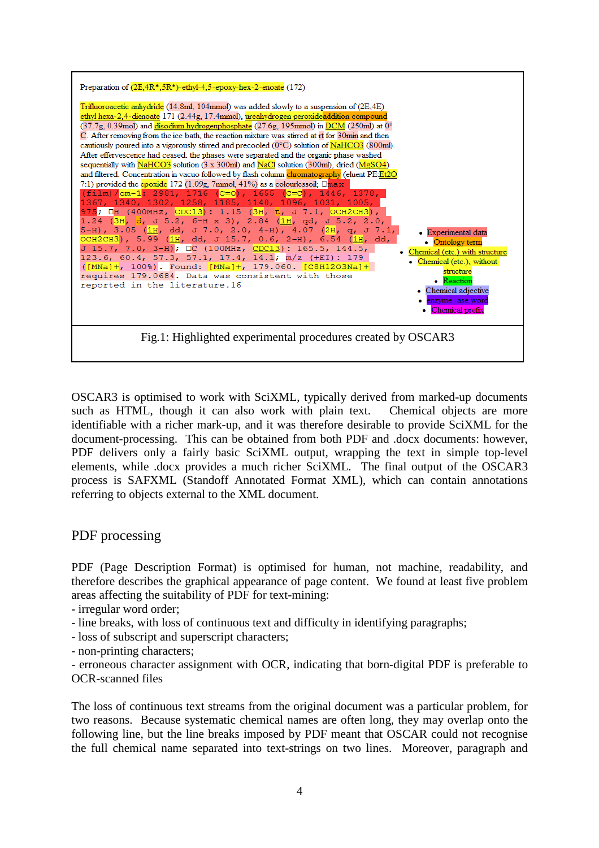

OSCAR3 is optimised to work with SciXML, typically derived from marked-up documents such as HTML, though it can also work with plain text. Chemical objects are more identifiable with a richer mark-up, and it was therefore desirable to provide SciXML for the document-processing. This can be obtained from both PDF and .docx documents: however, PDF delivers only a fairly basic SciXML output, wrapping the text in simple top-level elements, while .docx provides a much richer SciXML. The final output of the OSCAR3 process is SAFXML (Standoff Annotated Format XML), which can contain annotations referring to objects external to the XML document.

### PDF processing

PDF (Page Description Format) is optimised for human, not machine, readability, and therefore describes the graphical appearance of page content. We found at least five problem areas affecting the suitability of PDF for text-mining:

- irregular word order;
- line breaks, with loss of continuous text and difficulty in identifying paragraphs;
- loss of subscript and superscript characters;
- non-printing characters;

- erroneous character assignment with OCR, indicating that born-digital PDF is preferable to OCR-scanned files

The loss of continuous text streams from the original document was a particular problem, for two reasons. Because systematic chemical names are often long, they may overlap onto the following line, but the line breaks imposed by PDF meant that OSCAR could not recognise the full chemical name separated into text-strings on two lines. Moreover, paragraph and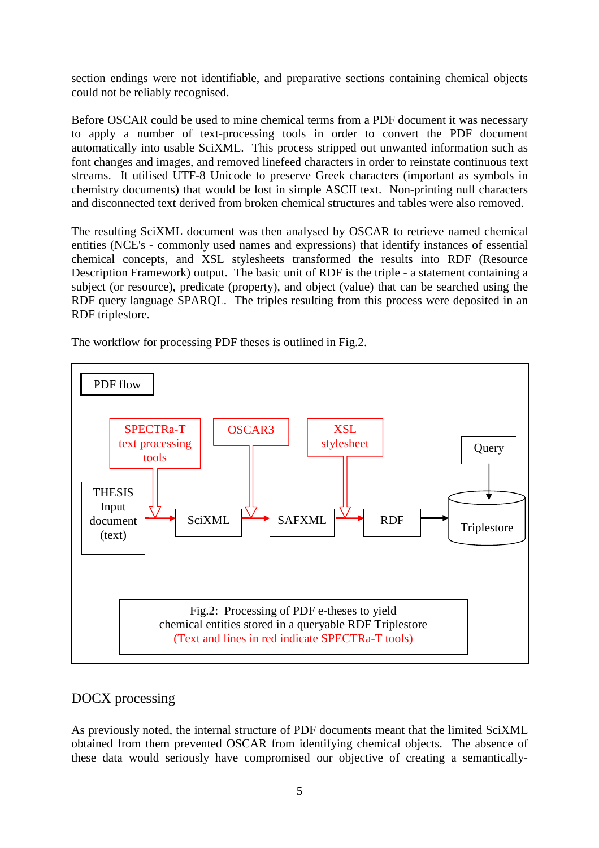section endings were not identifiable, and preparative sections containing chemical objects could not be reliably recognised.

Before OSCAR could be used to mine chemical terms from a PDF document it was necessary to apply a number of text-processing tools in order to convert the PDF document automatically into usable SciXML. This process stripped out unwanted information such as font changes and images, and removed linefeed characters in order to reinstate continuous text streams. It utilised UTF-8 Unicode to preserve Greek characters (important as symbols in chemistry documents) that would be lost in simple ASCII text. Non-printing null characters and disconnected text derived from broken chemical structures and tables were also removed.

The resulting SciXML document was then analysed by OSCAR to retrieve named chemical entities (NCE's - commonly used names and expressions) that identify instances of essential chemical concepts, and XSL stylesheets transformed the results into RDF (Resource Description Framework) output. The basic unit of RDF is the triple - a statement containing a subject (or resource), predicate (property), and object (value) that can be searched using the RDF query language SPARQL. The triples resulting from this process were deposited in an RDF triplestore.

The workflow for processing PDF theses is outlined in Fig.2.



### DOCX processing

As previously noted, the internal structure of PDF documents meant that the limited SciXML obtained from them prevented OSCAR from identifying chemical objects. The absence of these data would seriously have compromised our objective of creating a semantically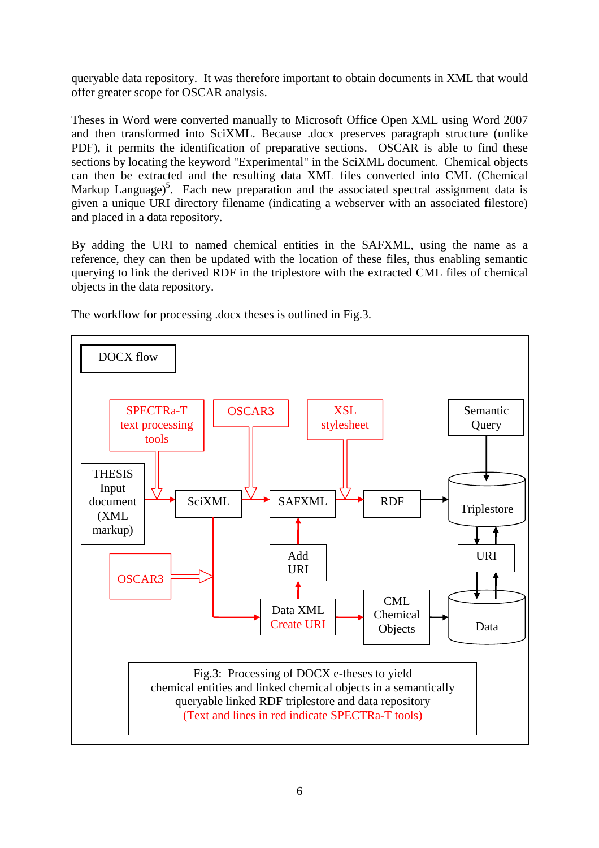queryable data repository. It was therefore important to obtain documents in XML that would offer greater scope for OSCAR analysis.

Theses in Word were converted manually to Microsoft Office Open XML using Word 2007 and then transformed into SciXML. Because .docx preserves paragraph structure (unlike PDF), it permits the identification of preparative sections. OSCAR is able to find these sections by locating the keyword "Experimental" in the SciXML document. Chemical objects can then be extracted and the resulting data XML files converted into CML (Chemical Markup Language)<sup>5</sup>. Each new preparation and the associated spectral assignment data is given a unique URI directory filename (indicating a webserver with an associated filestore) and placed in a data repository.

By adding the URI to named chemical entities in the SAFXML, using the name as a reference, they can then be updated with the location of these files, thus enabling semantic querying to link the derived RDF in the triplestore with the extracted CML files of chemical objects in the data repository.

The workflow for processing .docx theses is outlined in Fig.3.

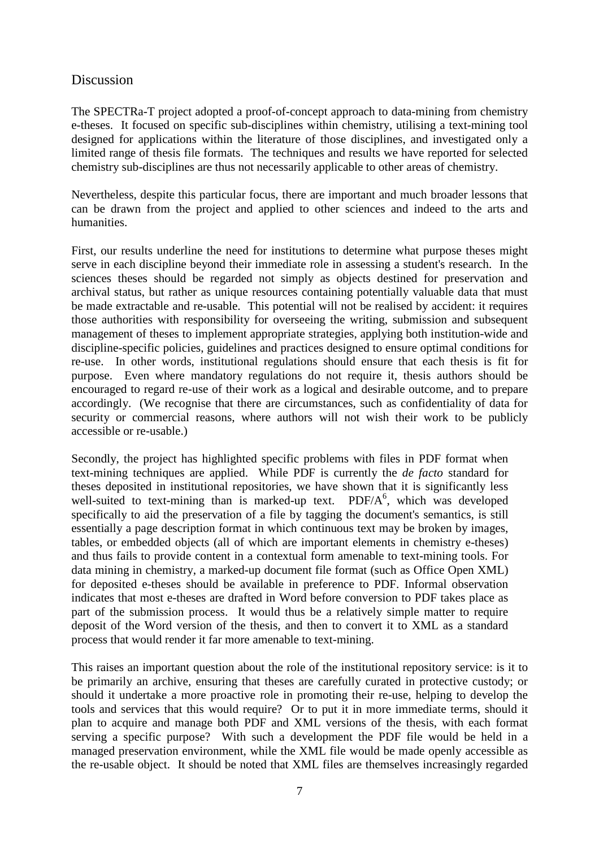## Discussion

The SPECTRa-T project adopted a proof-of-concept approach to data-mining from chemistry e-theses. It focused on specific sub-disciplines within chemistry, utilising a text-mining tool designed for applications within the literature of those disciplines, and investigated only a limited range of thesis file formats. The techniques and results we have reported for selected chemistry sub-disciplines are thus not necessarily applicable to other areas of chemistry.

Nevertheless, despite this particular focus, there are important and much broader lessons that can be drawn from the project and applied to other sciences and indeed to the arts and humanities.

First, our results underline the need for institutions to determine what purpose theses might serve in each discipline beyond their immediate role in assessing a student's research. In the sciences theses should be regarded not simply as objects destined for preservation and archival status, but rather as unique resources containing potentially valuable data that must be made extractable and re-usable. This potential will not be realised by accident: it requires those authorities with responsibility for overseeing the writing, submission and subsequent management of theses to implement appropriate strategies, applying both institution-wide and discipline-specific policies, guidelines and practices designed to ensure optimal conditions for re-use. In other words, institutional regulations should ensure that each thesis is fit for purpose. Even where mandatory regulations do not require it, thesis authors should be encouraged to regard re-use of their work as a logical and desirable outcome, and to prepare accordingly. (We recognise that there are circumstances, such as confidentiality of data for security or commercial reasons, where authors will not wish their work to be publicly accessible or re-usable.)

Secondly, the project has highlighted specific problems with files in PDF format when text-mining techniques are applied. While PDF is currently the *de facto* standard for theses deposited in institutional repositories, we have shown that it is significantly less well-suited to text-mining than is marked-up text.  $PDF/A^6$ , which was developed specifically to aid the preservation of a file by tagging the document's semantics, is still essentially a page description format in which continuous text may be broken by images, tables, or embedded objects (all of which are important elements in chemistry e-theses) and thus fails to provide content in a contextual form amenable to text-mining tools. For data mining in chemistry, a marked-up document file format (such as Office Open XML) for deposited e-theses should be available in preference to PDF. Informal observation indicates that most e-theses are drafted in Word before conversion to PDF takes place as part of the submission process. It would thus be a relatively simple matter to require deposit of the Word version of the thesis, and then to convert it to XML as a standard process that would render it far more amenable to text-mining.

This raises an important question about the role of the institutional repository service: is it to be primarily an archive, ensuring that theses are carefully curated in protective custody; or should it undertake a more proactive role in promoting their re-use, helping to develop the tools and services that this would require? Or to put it in more immediate terms, should it plan to acquire and manage both PDF and XML versions of the thesis, with each format serving a specific purpose? With such a development the PDF file would be held in a managed preservation environment, while the XML file would be made openly accessible as the re-usable object. It should be noted that XML files are themselves increasingly regarded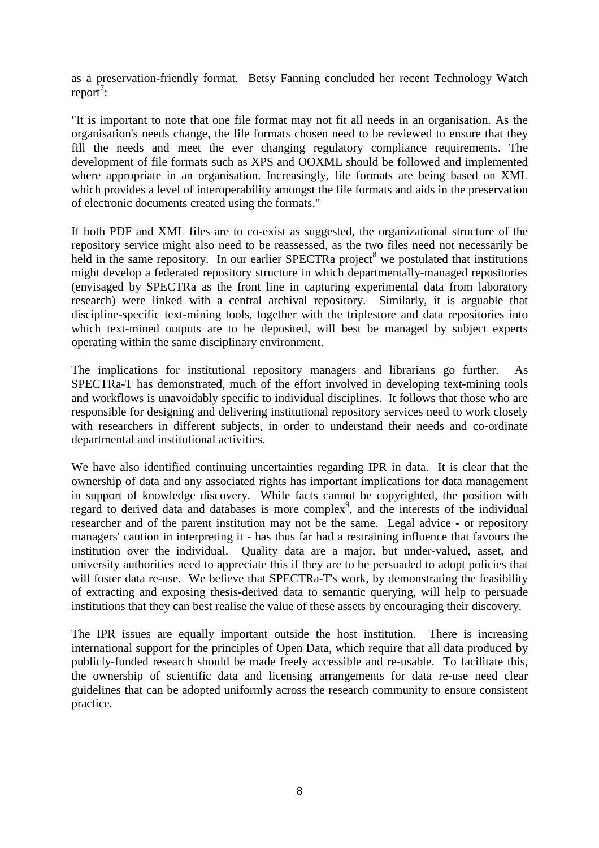as a preservation-friendly format. Betsy Fanning concluded her recent Technology Watch  $report^7$ :

"It is important to note that one file format may not fit all needs in an organisation. As the organisation's needs change, the file formats chosen need to be reviewed to ensure that they fill the needs and meet the ever changing regulatory compliance requirements. The development of file formats such as XPS and OOXML should be followed and implemented where appropriate in an organisation. Increasingly, file formats are being based on XML which provides a level of interoperability amongst the file formats and aids in the preservation of electronic documents created using the formats."

If both PDF and XML files are to co-exist as suggested, the organizational structure of the repository service might also need to be reassessed, as the two files need not necessarily be held in the same repository. In our earlier SPECTRa project<sup>8</sup> we postulated that institutions might develop a federated repository structure in which departmentally-managed repositories (envisaged by SPECTRa as the front line in capturing experimental data from laboratory research) were linked with a central archival repository. Similarly, it is arguable that discipline-specific text-mining tools, together with the triplestore and data repositories into which text-mined outputs are to be deposited, will best be managed by subject experts operating within the same disciplinary environment.

The implications for institutional repository managers and librarians go further. As SPECTRa-T has demonstrated, much of the effort involved in developing text-mining tools and workflows is unavoidably specific to individual disciplines. It follows that those who are responsible for designing and delivering institutional repository services need to work closely with researchers in different subjects, in order to understand their needs and co-ordinate departmental and institutional activities.

We have also identified continuing uncertainties regarding IPR in data. It is clear that the ownership of data and any associated rights has important implications for data management in support of knowledge discovery. While facts cannot be copyrighted, the position with regard to derived data and databases is more complex<sup>9</sup>, and the interests of the individual researcher and of the parent institution may not be the same. Legal advice - or repository managers' caution in interpreting it - has thus far had a restraining influence that favours the institution over the individual. Quality data are a major, but under-valued, asset, and university authorities need to appreciate this if they are to be persuaded to adopt policies that will foster data re-use. We believe that SPECTRa-T's work, by demonstrating the feasibility of extracting and exposing thesis-derived data to semantic querying, will help to persuade institutions that they can best realise the value of these assets by encouraging their discovery.

The IPR issues are equally important outside the host institution. There is increasing international support for the principles of Open Data, which require that all data produced by publicly-funded research should be made freely accessible and re-usable. To facilitate this, the ownership of scientific data and licensing arrangements for data re-use need clear guidelines that can be adopted uniformly across the research community to ensure consistent practice.